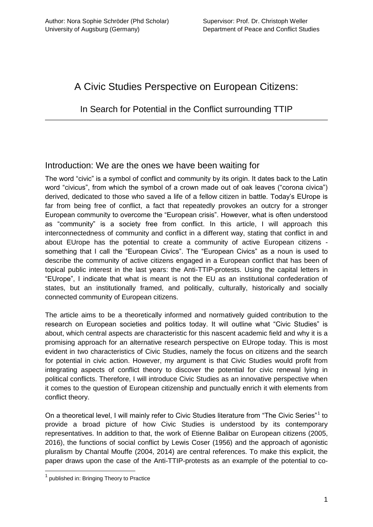# A Civic Studies Perspective on European Citizens:

In Search for Potential in the Conflict surrounding TTIP

# Introduction: We are the ones we have been waiting for

The word "civic" is a symbol of conflict and community by its origin. It dates back to the Latin word "civicus", from which the symbol of a crown made out of oak leaves ("corona civica") derived, dedicated to those who saved a life of a fellow citizen in battle. Today's EUrope is far from being free of conflict, a fact that repeatedly provokes an outcry for a stronger European community to overcome the "European crisis". However, what is often understood as "community" is a society free from conflict. In this article, I will approach this interconnectedness of community and conflict in a different way, stating that conflict in and about EUrope has the potential to create a community of active European citizens something that I call the "European Civics". The "European Civics" as a noun is used to describe the community of active citizens engaged in a European conflict that has been of topical public interest in the last years: the Anti-TTIP-protests. Using the capital letters in "EUrope", I indicate that what is meant is not the EU as an institutional confederation of states, but an institutionally framed, and politically, culturally, historically and socially connected community of European citizens.

The article aims to be a theoretically informed and normatively guided contribution to the research on European societies and politics today. It will outline what "Civic Studies" is about, which central aspects are characteristic for this nascent academic field and why it is a promising approach for an alternative research perspective on EUrope today. This is most evident in two characteristics of Civic Studies, namely the focus on citizens and the search for potential in civic action. However, my argument is that Civic Studies would profit from integrating aspects of conflict theory to discover the potential for civic renewal lying in political conflicts. Therefore, I will introduce Civic Studies as an innovative perspective when it comes to the question of European citizenship and punctually enrich it with elements from conflict theory.

On a theoretical level, I will mainly refer to Civic Studies literature from "The Civic Series"<sup>1</sup> to provide a broad picture of how Civic Studies is understood by its contemporary representatives. In addition to that, the work of Etienne Balibar on European citizens (2005, 2016), the functions of social conflict by Lewis Coser (1956) and the approach of agonistic pluralism by Chantal Mouffe (2004, 2014) are central references. To make this explicit, the paper draws upon the case of the Anti-TTIP-protests as an example of the potential to co-

<sup>1</sup> published in: Bringing Theory to Practice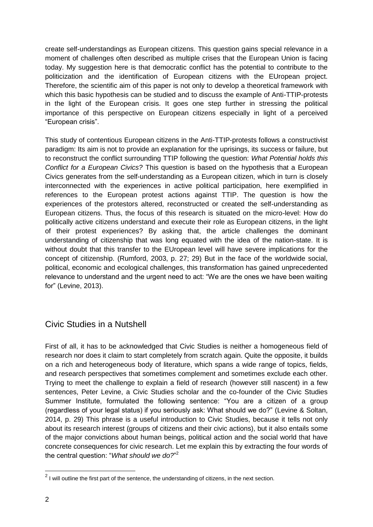create self-understandings as European citizens. This question gains special relevance in a moment of challenges often described as multiple crises that the European Union is facing today. My suggestion here is that democratic conflict has the potential to contribute to the politicization and the identification of European citizens with the EUropean project. Therefore, the scientific aim of this paper is not only to develop a theoretical framework with which this basic hypothesis can be studied and to discuss the example of Anti-TTIP-protests in the light of the European crisis. It goes one step further in stressing the political importance of this perspective on European citizens especially in light of a perceived "European crisis".

This study of contentious European citizens in the Anti-TTIP-protests follows [a](http://de.pons.com/%C3%BCbersetzung/englisch-deutsch/a) [constructivist](http://de.pons.com/%C3%BCbersetzung/englisch-deutsch/a) [paradigm:](http://de.pons.com/%C3%BCbersetzung/englisch-deutsch/paradigm) Its [aim](http://de.pons.com/%C3%BCbersetzung/englisch-deutsch/aim) [is](http://de.pons.com/%C3%BCbersetzung/englisch-deutsch/aim) [not](http://de.pons.com/%C3%BCbersetzung/englisch-deutsch/not) [to](http://de.pons.com/%C3%BCbersetzung/englisch-deutsch/not) provide an explanation for the uprisings, its success or failure, [but](http://de.pons.com/%C3%BCbersetzung/englisch-deutsch/ut) to reconstruct [the](http://de.pons.com/%C3%BCbersetzung/englisch-deutsch/the) conflict surrounding TTIP following the [question:](http://de.pons.com/%C3%BCbersetzung/englisch-deutsch/the) *What Potential holds this Conflict for a European Civics?* This question is based on the hypothesis that a European Civics generates from the [self-u](http://de.pons.com/%C3%BCbersetzung/englisch-deutsch/self-image)nderstanding as a European citizen, which in turn is closely interconnected with the experiences in active political participation, here exemplified in references to the European protest actions against TTIP. The question is how the experiences of the protestors altered, reconstructed or created the self-understanding as European citizens. Thus, the focus of this research is situated on the micro-level: How do politically active citizens understand and execute their role as European citizens, in the light of their protest experiences? By asking that, the article challenges the dominant understanding of citizenship that was long equated with the idea of the nation-state. It is without doubt that this transfer to the EUropean level will have severe implications for the concept of citizenship. (Rumford, 2003, p. 27; 29) But in the face of the worldwide social, political, economic and ecological challenges, this transformation has gained unprecedented relevance to understand and the urgent need to act: "We are the ones we have been waiting for" (Levine, 2013).

### Civic Studies in a Nutshell

First of all, it has to be acknowledged that Civic Studies is neither a homogeneous field of research nor does it claim to start completely from scratch again. Quite the opposite, it builds on a rich and heterogeneous body of literature, which spans a wide range of topics, fields, and research perspectives that sometimes complement and sometimes exclude each other. Trying to meet the challenge to explain a field of research (however still nascent) in a few sentences, Peter Levine, a Civic Studies scholar and the co-founder of the Civic Studies Summer Institute, formulated the following sentence: "You are a citizen of a group (regardless of your legal status) if you seriously ask: What should we do?" (Levine & Soltan, 2014, p. 29) This phrase is a useful introduction to Civic Studies, because it tells not only about its research interest (groups of citizens and their civic actions), but it also entails some of the major convictions about human beings, political action and the social world that have concrete consequences for civic research. Let me explain this by extracting the four words of the central question: "*What should we do?*" 2

 $2$  I will outline the first part of the sentence, the understanding of citizens, in the next section.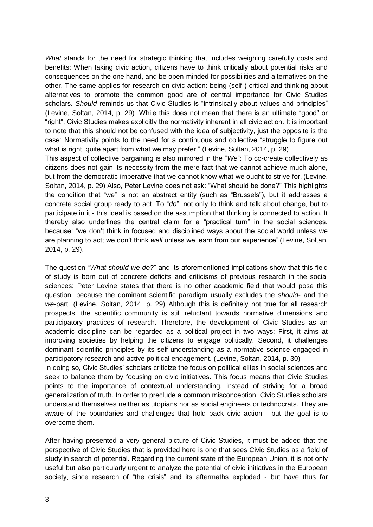*What* stands for the need for strategic thinking that includes weighing carefully costs and benefits: When taking civic action, citizens have to think critically about potential risks and consequences on the one hand, and be open-minded for possibilities and alternatives on the other. The same applies for research on civic action: being (self-) critical and thinking about alternatives to promote the common good are of central importance for Civic Studies scholars. *Should* reminds us that Civic Studies is "intrinsically about values and principles" (Levine, Soltan, 2014, p. 29). While this does not mean that there is an ultimate "good" or "right", Civic Studies makes explicitly the normativity inherent in all civic action. It is important to note that this should not be confused with the idea of subjectivity, just the opposite is the case: Normativity points to the need for a continuous and collective "struggle to figure out what is right, quite apart from what we may prefer." (Levine, Soltan, 2014, p. 29)

This aspect of collective bargaining is also mirrored in the "*We*": To co-create collectively as citizens does not gain its necessity from the mere fact that we cannot achieve much alone, but from the democratic imperative that we cannot know what we ought to strive for. (Levine, Soltan, 2014, p. 29) Also, Peter Levine does not ask: "What should be done?" This highlights the condition that "we" is not an abstract entity (such as "Brussels"), but it addresses a concrete social group ready to act. To "*do*", not only to think and talk about change, but to participate in it - this ideal is based on the assumption that thinking is connected to action. It thereby also underlines the central claim for a "practical turn" in the social sciences, because: "we don't think in focused and disciplined ways about the social world unless we are planning to act; we don't think *well* unless we learn from our experience" (Levine, Soltan, 2014, p. 29).

The question "*What should we do?*" and its aforementioned implications show that this field of study is born out of concrete deficits and criticisms of previous research in the social sciences: Peter Levine states that there is no other academic field that would pose this question, because the dominant scientific paradigm usually excludes the *should*- and the *we*-part. (Levine, Soltan, 2014, p. 29) Although this is definitely not true for all research prospects, the scientific community is still reluctant towards normative dimensions and participatory practices of research. Therefore, the development of Civic Studies as an academic discipline can be regarded as a political project in two ways: First, it aims at improving societies by helping the citizens to engage politically. Second, it challenges dominant scientific principles by its self-understanding as a normative science engaged in participatory research and active political engagement. (Levine, Soltan, 2014, p. 30)

In doing so, Civic Studies' scholars criticize the focus on political elites in social sciences and seek to balance them by focusing on civic initiatives. This focus means that Civic Studies points to the importance of contextual understanding, instead of striving for a broad generalization of truth. In order to preclude a common misconception, Civic Studies scholars understand themselves neither as utopians nor as social engineers or technocrats. They are aware of the boundaries and challenges that hold back civic action - but the goal is to overcome them.

After having presented a very general picture of Civic Studies, it must be added that the perspective of Civic Studies that is provided here is one that sees Civic Studies as a field of study in search of potential. Regarding the current state of the European Union, it is not only useful but also particularly urgent to analyze the potential of civic initiatives in the European society, since research of "the crisis" and its aftermaths exploded - but have thus far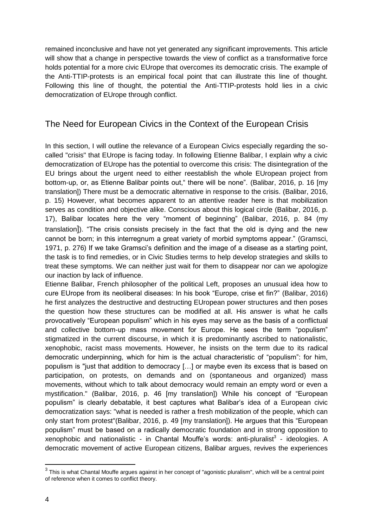remained inconclusive and have not yet generated any significant improvements. This article will show that a change in perspective towards the view of conflict as a transformative force holds potential for a more civic EUrope that overcomes its democratic crisis. The example of the Anti-TTIP-protests is an empirical focal point that can illustrate this line of thought. Following this line of thought, the potential the Anti-TTIP-protests hold lies in a civic democratization of EUrope through conflict.

## The Need for European Civics in the Context of the European Crisis

In this section, I will outline the relevance of a European Civics especially regarding the socalled "crisis" that EUrope is facing today. In following Etienne Balibar, I explain why a civic democratization of EUrope has the potential to overcome this crisis: The disintegration of the EU brings about the urgent need to either reestablish the whole EUropean project from bottom-up, or, as Etienne Balibar points out," there will be none". (Balibar, 2016, p. 16 [mv translation]) There must be a democratic alternative in response to the crisis. (Balibar, 2016, p. 15) However, what becomes apparent to an attentive reader here is that mobilization serves as condition and objective alike. Conscious about this logical circle (Balibar, 2016, p. 17), Balibar locates here the very "moment of beginning" (Balibar, 2016, p. 84 (my translation]). "The crisis consists precisely in the fact that the old is dying and the new cannot be born; in this interregnum a great variety of morbid symptoms appear." (Gramsci, 1971, p. 276) If we take Gramsci's definition and the image of a disease as a starting point, the task is to find remedies, or in Civic Studies terms to help develop strategies and skills to treat these symptoms. We can neither just wait for them to disappear nor can we apologize our inaction by lack of influence.

Etienne Balibar, French philosopher of the political Left, proposes an unusual idea how to cure EUrope from its neoliberal diseases: In his book "Europe, crise et fin?" (Balibar, 2016) he first analyzes the destructive and destructing EUropean power structures and then poses the question how these structures can be modified at all. His answer is what he calls provocatively "European populism" which in his eyes may serve as the basis of a conflictual and collective bottom-up mass movement for Europe. He sees the term "populism" stigmatized in the current discourse, in which it is predominantly ascribed to nationalistic, xenophobic, racist mass movements. However, he insists on the term due to its radical democratic underpinning, which for him is the actual characteristic of "populism": for him, populism is "just that addition to democracy […] or maybe even its excess that is based on participation, on protests, on demands and on (spontaneous and organized) mass movements, without which to talk about democracy would remain an empty word or even a mystification." (Balibar, 2016, p. 46 [my translation]) While his concept of "European populism" is clearly debatable, it best captures what Balibar's idea of a European civic democratization says: "what is needed is rather a fresh mobilization of the people, which can only start from protest"(Balibar, 2016, p. 49 [my translation]). He argues that this "European populism" must be based on a radically democratic foundation and in strong opposition to xenophobic and nationalistic - in Chantal Mouffe's words: anti-pluralist<sup>3</sup> - ideologies. A democratic movement of active European citizens, Balibar argues, revives the experiences

 3 This is what Chantal Mouffe argues against in her concept of "agonistic pluralism", which will be a central point of reference when it comes to conflict theory.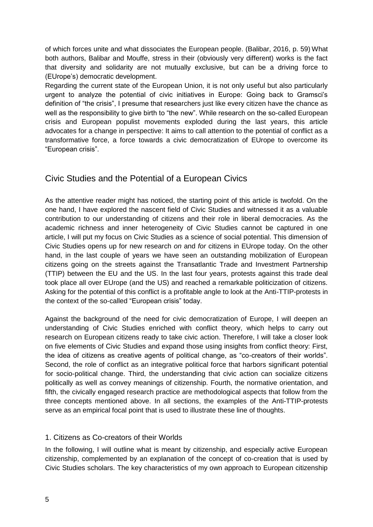of which forces unite and what dissociates the European people. (Balibar, 2016, p. 59) What both authors, Balibar and Mouffe, stress in their (obviously very different) works is the fact that diversity and solidarity are not mutually exclusive, but can be a driving force to (EUrope's) democratic development.

Regarding the current state of the European Union, it is not only useful but also particularly urgent to analyze the potential of civic initiatives in Europe: Going back to Gramsci's definition of "the crisis", I presume that researchers just like every citizen have the chance as well as the responsibility to give birth to "the new". While research on the so-called European crisis and European populist movements exploded during the last years, this article advocates for a change in perspective: It aims to call attention to the potential of conflict as a transformative force, a force towards a civic democratization of EUrope to overcome its "European crisis".

### Civic Studies and the Potential of a European Civics

As the attentive reader might has noticed, the starting point of this article is twofold. On the one hand, I have explored the nascent field of Civic Studies and witnessed it as a valuable contribution to our understanding of citizens and their role in liberal democracies. As the academic richness and inner heterogeneity of Civic Studies cannot be captured in one article, I will put my focus on Civic Studies as a science of social potential. This dimension of Civic Studies opens up for new research *on* and *for* citizens in EUrope today. On the other hand, in the last couple of years we have seen an outstanding mobilization of European citizens going on the streets against the Transatlantic Trade and Investment Partnership (TTIP) between the EU and the US. In the last four years, protests against this trade deal took place all over EUrope (and the US) and reached a remarkable politicization of citizens. Asking for the potential of this conflict is a profitable angle to look at the Anti-TTIP-protests in the context of the so-called "European crisis" today.

Against the background of the need for civic democratization of Europe, I will deepen an understanding of Civic Studies enriched with conflict theory, which helps to carry out research on European citizens ready to take civic action. Therefore, I will take a closer look on five elements of Civic Studies and expand those using insights from conflict theory: First, the idea of citizens as creative agents of political change, as "co-creators of their worlds". Second, the role of conflict as an integrative political force that harbors significant potential for socio-political change. Third, the understanding that civic action can socialize citizens politically as well as convey meanings of citizenship. Fourth, the normative orientation, and fifth, the civically engaged research practice are methodological aspects that follow from the three concepts mentioned above. In all sections, the examples of the Anti-TTIP-protests serve as an empirical focal point that is used to illustrate these line of thoughts.

#### 1. Citizens as Co-creators of their Worlds

In the following, I will outline what is meant by citizenship, and especially active European citizenship, complemented by an explanation of the concept of co-creation that is used by Civic Studies scholars. The key characteristics of my own approach to European citizenship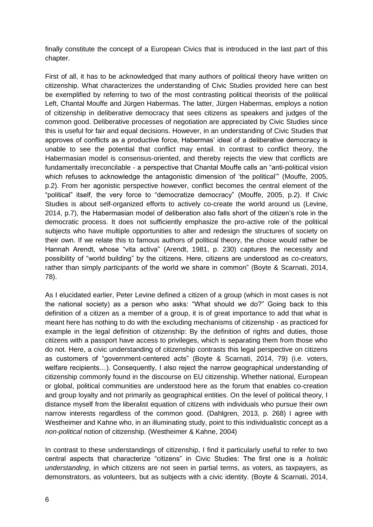finally constitute the concept of a European Civics that is introduced in the last part of this chapter.

First of all, it has to be acknowledged that many authors of political theory have written on citizenship. What characterizes the understanding of Civic Studies provided here can best be exemplified by referring to two of the most contrasting political theorists of the political Left, Chantal Mouffe and Jürgen Habermas. The latter, Jürgen Habermas, employs a notion of citizenship in deliberative democracy that sees citizens as speakers and judges of the common good. Deliberative processes of negotiation are appreciated by Civic Studies since this is useful for fair and equal decisions. However, in an understanding of Civic Studies that approves of conflicts as a productive force, Habermas' ideal of a deliberative democracy is unable to see the potential that conflict may entail. In contrast to conflict theory, the Habermasian model is consensus-oriented, and thereby rejects the view that conflicts are fundamentally irreconcilable - a perspective that Chantal Mouffe calls an "anti-political vision which refuses to acknowledge the antagonistic dimension of 'the political'" (Mouffe, 2005, p.2). From her agonistic perspective however, conflict becomes the central element of the "political" itself, the very force to "democratize democracy" (Mouffe, 2005, p.2). If Civic Studies is about self-organized efforts to actively co-create the world around us (Levine, 2014, p.7), the Habermasian model of deliberation also falls short of the citizen's role in the democratic process. It does not sufficiently emphasize the pro-active role of the political subjects who have multiple opportunities to alter and redesign the structures of society on their own. If we relate this to famous authors of political theory, the choice would rather be Hannah Arendt, whose "vita activa" (Arendt, 1981, p. 230) captures the necessity and possibility of "world building" by the citizens. Here, citizens are understood as *co-creators*, rather than simply *participants* of the world we share in common" (Boyte & Scarnati, 2014, 78).

As I elucidated earlier, Peter Levine defined a citizen of a group (which in most cases is not the national society) as a person who asks: "What should we do?" Going back to this definition of a citizen as a member of a group, it is of great importance to add that what is meant here has nothing to do with the excluding mechanisms of citizenship - as practiced for example in the legal definition of citizenship: By the definition of rights and duties, those citizens with a passport have access to privileges, which is separating them from those who do not. Here, a civic understanding of citizenship contrasts this legal perspective on citizens as customers of "government-centered acts" (Boyte & Scarnati, 2014, 79) (i.e. voters, welfare recipients…). Consequently, I also reject the narrow geographical understanding of citizenship commonly found in the discourse on EU citizenship. Whether national, European or global, political communities are understood here as the forum that enables co-creation and group loyalty and not primarily as geographical entities. On the level of political theory, I distance myself from the liberalist equation of citizens with individuals who pursue their own narrow interests regardless of the common good. (Dahlgren, 2013, p. 268) I agree with Westheimer and Kahne who, in an illuminating study, point to this individualistic concept as a *non-political* notion of citizenship. (Westheimer & Kahne, 2004)

In contrast to these understandings of citizenship, I find it particularly useful to refer to two central aspects that characterize "citizens" in Civic Studies: The first one is a *holistic understanding*, in which citizens are not seen in partial terms, as voters, as taxpayers, as demonstrators, as volunteers, but as subjects with a civic identity. (Boyte & Scarnati, 2014,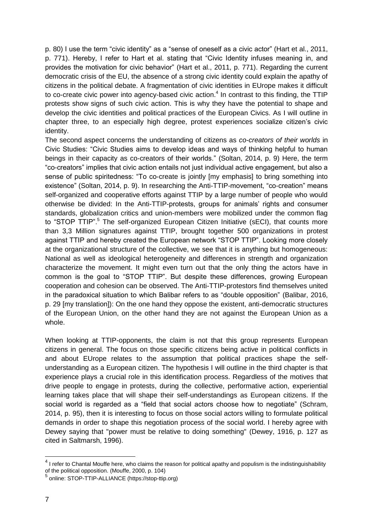p. 80) I use the term "civic identity" as a "sense of oneself as a civic actor" (Hart et al., 2011, p. 771). Hereby, I refer to Hart et al. stating that "Civic Identity infuses meaning in, and provides the motivation for civic behavior" (Hart et al., 2011, p. 771). Regarding the current democratic crisis of the EU, the absence of a strong civic identity could explain the apathy of citizens in the political debate. A fragmentation of civic identities in EUrope makes it difficult to co-create civic power into agency-based civic action.<sup>4</sup> In contrast to this finding, the TTIP protests show signs of such civic action. This is why they have the potential to shape and develop the civic identities and political practices of the European Civics. As I will outline in chapter three, to an especially high degree, protest experiences socialize citizen's civic identity.

The second aspect concerns the understanding of citizens as *co-creators of their worlds* in Civic Studies: "Civic Studies aims to develop ideas and ways of thinking helpful to human beings in their capacity as co-creators of their worlds." (Soltan, 2014, p. 9) Here, the term "co-creators" implies that civic action entails not just individual active engagement, but also a sense of public spiritedness: "To co-create is jointly [my emphasis] to bring something into existence" (Soltan, 2014, p. 9). In researching the Anti-TTIP-movement, "co-creation" means self-organized and cooperative efforts against TTIP by a large number of people who would otherwise be divided: In the Anti-TTIP-protests, groups for animals' rights and consumer standards, globalization critics and union-members were mobilized under the common flag to "STOP TTIP".<sup>5</sup> The self-organized European Citizen Initiative (sECI), that counts more than 3,3 Million signatures against TTIP, brought together 500 organizations in protest against TTIP and hereby created the European network "STOP TTIP". Looking more closely at the organizational structure of the collective, we see that it is anything but homogeneous: National as well as ideological heterogeneity and differences in strength and organization characterize the movement. It might even turn out that the only thing the actors have in common is the goal to "STOP TTIP". But despite these differences, growing European cooperation and cohesion can be observed. The Anti-TTIP-protestors find themselves united in the paradoxical situation to which Balibar refers to as "double opposition" (Balibar, 2016, p. 29 [my translation]): On the one hand they oppose the existent, anti-democratic structures of the European Union, on the other hand they are not against the European Union as a whole.

When looking at TTIP-opponents, the claim is not that this group represents European citizens in general. The focus on those specific citizens being active in political conflicts in and about EUrope relates to the assumption that political practices shape the selfunderstanding as a European citizen. The hypothesis I will outline in the third chapter is that experience plays a crucial role in this identification process. Regardless of the motives that drive people to engage in protests, during the collective, performative action, experiential learning takes place that will shape their self-understandings as European citizens. If the social world is regarded as a "field that social actors choose how to negotiate" (Schram, 2014, p. 95), then it is interesting to focus on those social actors willing to formulate political demands in order to shape this negotiation process of the social world. I hereby agree with Dewey saying that "power must be relative to doing something" (Dewey, 1916, p. 127 as cited in Saltmarsh, 1996).

 $<sup>4</sup>$  I refer to Chantal Mouffe here, who claims the reason for political apathy and populism is the indistinguishability</sup> of the political opposition. (Mouffe, 2000, p. 104)<br><sup>5</sup> aplies: STOR TTIP ALLIANCE (bttps://atap.ttip

online: STOP-TTIP-ALLIANCE (https://stop-ttip.org)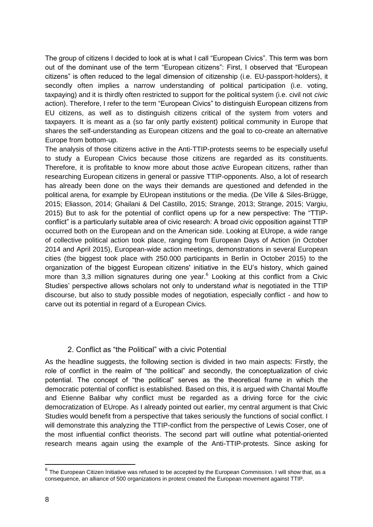The group of citizens I decided to look at is what I call "European Civics". This term was born out of the dominant use of the term "European citizens": First, I observed that "European citizens" is often reduced to the legal dimension of citizenship (i.e. EU-passport-holders), it secondly often implies a narrow understanding of political participation (i.e. voting, taxpaying) and it is thirdly often restricted to support for the political system (i.e. civil not *civic*  action). Therefore, I refer to the term "European Civics" to distinguish European citizens from EU citizens, as well as to distinguish citizens critical of the system from voters and taxpayers. It is meant as a (so far only partly existent) political community in Europe that shares the self-understanding as European citizens and the goal to co-create an alternative Europe from bottom-up.

The analysis of those citizens active in the Anti-TTIP-protests seems to be especially useful to study a European Civics because those citizens are regarded as its constituents. Therefore, it is profitable to know more about those *active* European citizens, rather than researching European citizens in general or passive TTIP-opponents. Also, a lot of research has already been done on the ways their demands are questioned and defended in the political arena, for example by EUropean institutions or the media. (De Ville & Siles-Brügge, 2015; Eliasson, 2014; Ghailani & Del Castillo, 2015; Strange, 2013; Strange, 2015; Vargiu, 2015) But to ask for the potential of conflict opens up for a new perspective: The "TTIPconflict" is a particularly suitable area of civic research: A broad civic opposition against TTIP occurred both on the European and on the American side. Looking at EUrope, a wide range of collective political action took place, ranging from European Days of Action (in October 2014 and April 2015), European-wide action meetings, demonstrations in several European cities (the biggest took place with 250.000 participants in Berlin in October 2015) to the organization of the biggest European citizens' initiative in the EU's history, which gained more than 3,3 million signatures during one year.<sup>6</sup> Looking at this conflict from a Civic Studies' perspective allows scholars not only to understand *what* is negotiated in the TTIP discourse, but also to study possible modes of negotiation, especially conflict - and how to carve out its potential in regard of a European Civics.

#### 2. Conflict as "the Political" with a civic Potential

As the headline suggests, the following section is divided in two main aspects: Firstly, the role of conflict in the realm of "the political" and secondly, the conceptualization of civic potential. The concept of "the political" serves as the theoretical frame in which the democratic potential of conflict is established. Based on this, it is argued with Chantal Mouffe and Etienne Balibar why conflict must be regarded as a driving force for the civic democratization of EUrope. As I already pointed out earlier, my central argument is that Civic Studies would benefit from a perspective that takes seriously the functions of social conflict. I will demonstrate this analyzing the TTIP-conflict from the perspective of Lewis Coser, one of the most influential conflict theorists. The second part will outline what potential-oriented research means again using the example of the Anti-TTIP-protests. Since asking for

 $^6$  The European Citizen Initiative was refused to be accepted by the European Commission. I will show that, as a consequence, an alliance of 500 organizations in protest created the European movement against TTIP.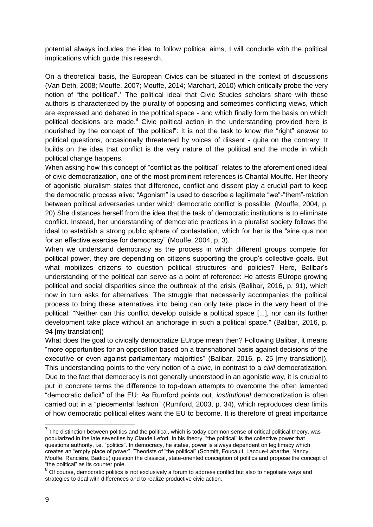potential always includes the idea to follow political aims, I will conclude with the political implications which guide this research.

On a theoretical basis, the European Civics can be situated in the context of discussions (Van Deth, 2008; Mouffe, 2007; Mouffe, 2014; Marchart, 2010) which critically probe the very notion of "the political".<sup>7</sup> The political ideal that Civic Studies scholars share with these authors is characterized by the plurality of opposing and sometimes conflicting views, which are expressed and debated in the political space - and which finally form the basis on which political decisions are made.<sup>8</sup> Civic political action in the understanding provided here is nourished by the concept of "the political": It is not the task to know *the* "right" answer to political questions, occasionally threatened by voices of dissent - quite on the contrary: It builds on the idea that conflict is the very nature of the political and the mode in which political change happens.

When asking how this concept of "conflict as the political" relates to the aforementioned ideal of civic democratization, one of the most prominent references is Chantal Mouffe. Her theory of agonistic pluralism states that difference, conflict and dissent play a crucial part to keep the democratic process alive: "Agonism" is used to describe a legitimate "we"-"them"-relation between political adversaries under which democratic conflict is possible. (Mouffe, 2004, p. 20) She distances herself from the idea that the task of democratic institutions is to eliminate conflict. Instead, her understanding of democratic practices in a pluralist society follows the ideal to establish a strong public sphere of contestation, which for her is the "sine qua non for an effective exercise for democracy" (Mouffe, 2004, p. 3).

When we understand democracy as the process in which different groups compete for political power, they are depending on citizens supporting the group's collective goals. But what mobilizes citizens to question political structures and policies? Here, Balibar's understanding of the political can serve as a point of reference: He attests EUrope growing political and social disparities since the outbreak of the crisis (Balibar, 2016, p. 91), which now in turn asks for alternatives. The struggle that necessarily accompanies the political process to bring these alternatives into being can only take place in the very heart of the political: "Neither can this conflict develop outside a political space [...], nor can its further development take place without an anchorage in such a political space." (Balibar, 2016, p. 94 [my translation])

What does the goal to civically democratize EUrope mean then? Following Balibar, it means "more opportunities for an opposition based on a transnational basis against decisions of the executive or even against parliamentary majorities" (Balibar, 2016, p. 25 [my translation]). This understanding points to the very notion of a *civic*, in contrast to a *civil* democratization. Due to the fact that democracy is not generally understood in an agonistic way, it is crucial to put in concrete terms the difference to top-down attempts to overcome the often lamented "democratic deficit" of the EU: As Rumford points out, *institutional* democratization is often carried out in a "piecemental fashion" (Rumford, 2003, p. 34), which reproduces clear limits of how democratic political elites want the EU to become. It is therefore of great importance

 7 The distinction between politics and the political, which is today common sense of critical political theory, was popularized in the late seventies by Claude Lefort. In his theory, "the political" is the collective power that questions authority, i.e. "politics". In democracy, he states, power is always dependent on legitimacy which creates an "empty place of power". Theorists of "the political" (Schmitt, Foucault, Lacoue-Labarthe, Nancy, Mouffe, Rancière, Badiou) question the classical, state-oriented conception of politics and propose the concept of "the political" as its counter pole.

<sup>8</sup> Of course, democratic politics is not exclusively a forum to address conflict but also to negotiate ways and strategies to deal with differences and to realize productive civic action.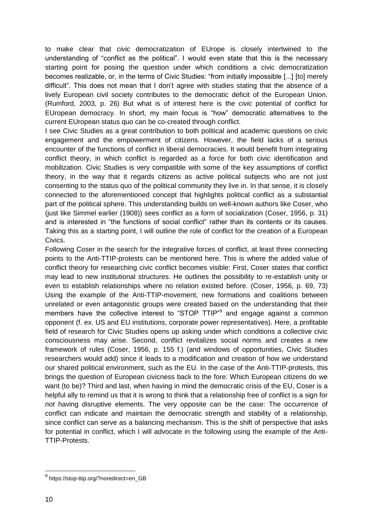to make clear that *civic* democratization of EUrope is closely intertwined to the understanding of "conflict as the political". I would even state that this is the necessary starting point for posing the question under which conditions a civic democratization becomes realizable, or, in the terms of Civic Studies: "from initially impossible [...] [to] merely difficult". This does not mean that I don't agree with studies stating that the absence of a lively European civil society contributes to the democratic deficit of the European Union. (Rumford, 2003, p. 26) But what is of interest here is the *civic* potential of conflict for EUropean democracy. In short, my main focus is "how" democratic alternatives to the current EUropean status quo can be co-created through conflict.

I see Civic Studies as a great contribution to both political and academic questions on civic engagement and the empowerment of citizens. However, the field lacks of a serious encounter of the functions of conflict in liberal democracies. It would benefit from integrating conflict theory, in which conflict is regarded as a force for both civic identification and mobilization. Civic Studies is very compatible with some of the key assumptions of conflict theory, in the way that it regards citizens as active political subjects who are not just consenting to the status quo of the political community they live in. In that sense, it is closely connected to the aforementioned concept that highlights political conflict as a substantial part of the political sphere. This understanding builds on well-known authors like Coser, who (just like Simmel earlier (1908)) sees conflict as a form of socialization (Coser, 1956, p. 31) and is interested in "the functions of social conflict" rather than its contents or its causes. Taking this as a starting point, I will outline the role of conflict for the creation of a European Civics.

Following Coser in the search for the integrative forces of conflict, at least three connecting points to the Anti-TTIP-protests can be mentioned here. This is where the added value of conflict theory for researching civic conflict becomes visible: First, Coser states that conflict may lead to new institutional structures. He outlines the possibility to re-establish unity or even to establish relationships where no relation existed before. (Coser, 1956, p. 69, 73) Using the example of the Anti-TTIP-movement, new formations and coalitions between unrelated or even antagonistic groups were created based on the understanding that their members have the collective interest to "STOP TTIP"<sup>9</sup> and engage against a common opponent (f. ex. US and EU institutions, corporate power representatives). Here, a profitable field of research for Civic Studies opens up asking under which conditions a collective civic consciousness may arise. Second, conflict revitalizes social norms and creates a new framework of rules (Coser, 1956, p. 155 f.) (and windows of opportunities, Civic Studies researchers would add) since it leads to a modification and creation of how we understand our shared political environment, such as the EU. In the case of the Anti-TTIP-protests, this brings the question of European civicness back to the fore: Which European citizens do we want (to be)? Third and last, when having in mind the democratic crisis of the EU, Coser is a helpful ally to remind us that it is wrong to think that a relationship free of conflict is a sign for *not* having disruptive elements. The very opposite can be the case: The occurrence of conflict can indicate and maintain the democratic strength and stability of a relationship, since conflict can serve as a balancing mechanism. This is the shift of perspective that asks for potential in conflict, which I will advocate in the following using the example of the Anti-TTIP-Protests.

<sup>&</sup>lt;sup>9</sup> https://stop-ttip.org/?noredirect=en\_GB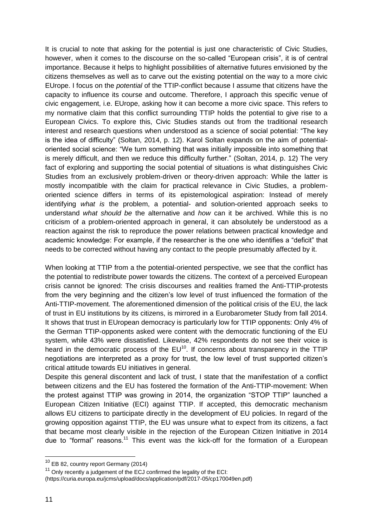It is crucial to note that asking for the potential is just one characteristic of Civic Studies, however, when it comes to the discourse on the so-called "European crisis", it is of central importance. Because it helps to highlight possibilities of alternative futures envisioned by the citizens themselves as well as to carve out the existing potential on the way to a more civic EUrope. I focus on the *potential* of the TTIP-conflict because I assume that citizens have the capacity to influence its course and outcome. Therefore, I approach this specific venue of civic engagement, i.e. EUrope, asking how it can become a more civic space. This refers to my normative claim that this conflict surrounding TTIP holds the potential to give rise to a European Civics. To explore this, Civic Studies stands out from the traditional research interest and research questions when understood as a science of social potential: "The key is the idea of difficulty" (Soltan, 2014, p. 12). Karol Soltan expands on the aim of potentialoriented social science: "We turn something that was initially impossible into something that is merely difficult, and then we reduce this difficulty further." (Soltan, 2014, p. 12) The very fact of exploring and supporting the social potential of situations is what distinguishes Civic Studies from an exclusively problem-driven or theory-driven approach: While the latter is mostly incompatible with the claim for practical relevance in Civic Studies, a problemoriented science differs in terms of its epistemological aspiration: Instead of merely identifying *what is* the problem, a potential- and solution-oriented approach seeks to understand *what should be* the alternative and *how* can it be archived. While this is no criticism of a problem-oriented approach in general, it can absolutely be understood as a reaction against the risk to reproduce the power relations between practical knowledge and academic knowledge: For example, if the researcher is the one who identifies a "deficit" that needs to be corrected without having any contact to the people presumably affected by it.

When looking at TTIP from a the potential-oriented perspective, we see that the conflict has the potential to redistribute power towards the citizens. The context of a perceived European crisis cannot be ignored: The crisis discourses and realities framed the Anti-TTIP-protests from the very beginning and the citizen's low level of trust influenced the formation of the Anti-TTIP-movement. The aforementioned dimension of the political crisis of the EU, the lack of trust in EU institutions by its citizens, is mirrored in a Eurobarometer Study from fall 2014. It shows that trust in EUropean democracy is particularly low for TTIP opponents: Only 4% of the German TTIP-opponents asked were content with the democratic functioning of the EU system, while 43% were dissatisfied. Likewise, 42% respondents do not see their voice is heard in the democratic process of the  $EU^{10}$ . If concerns about transparency in the TTIP negotiations are interpreted as a proxy for trust, the low level of trust supported citizen's critical attitude towards EU initiatives in general.

Despite this general discontent and lack of trust, I state that the manifestation of a conflict between citizens and the EU has fostered the formation of the Anti-TTIP-movement: When the protest against TTIP was growing in 2014, the organization "STOP TTIP" launched a European Citizen Initiative (ECI) against TTIP. If accepted, this democratic mechanism allows EU citizens to participate directly in the development of EU policies. In regard of the growing opposition against TTIP, the EU was unsure what to expect from its citizens, a fact that became most clearly visible in the rejection of the European Citizen Initiative in 2014 due to "formal" reasons.<sup>11</sup> This event was the kick-off for the formation of a European

 $10$  EB 82, country report Germany (2014)

 $11$  Only recently a judgement of the ECJ confirmed the legality of the ECI:

<sup>(</sup>https://curia.europa.eu/jcms/upload/docs/application/pdf/2017-05/cp170049en.pdf)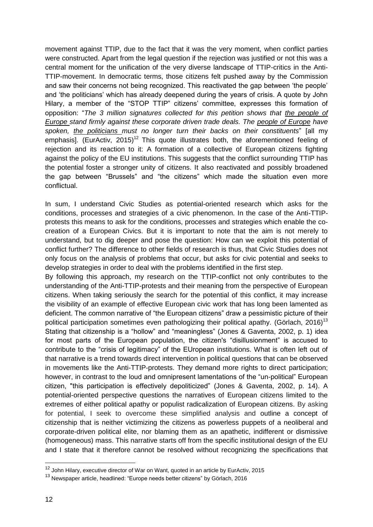movement against TTIP, due to the fact that it was the very moment, when conflict parties were constructed. Apart from the legal question if the rejection was justified or not this was a central moment for the unification of the very diverse landscape of TTIP-critics in the Anti-TTIP-movement. In democratic terms, those citizens felt pushed away by the Commission and saw their concerns not being recognized. This reactivated the gap between 'the people' and 'the politicians' which has already deepened during the years of crisis. A quote by John Hilary, a member of the "STOP TTIP" citizens' committee, expresses this formation of opposition: "*The 3 million signatures collected for this petition shows that the people of Europe stand firmly against these corporate driven trade deals. The people of Europe have spoken, the politicians must no longer turn their backs on their constituents*" [all my emphasis]. (EurActiv, 2015)<sup>12</sup> This quote illustrates both, the aforementioned feeling of rejection and its reaction to it: A formation of a collective of European citizens fighting against the policy of the EU institutions. This suggests that the conflict surrounding TTIP has the potential foster a stronger unity of citizens. It also reactivated and possibly broadened the gap between "Brussels" and "the citizens" which made the situation even more conflictual.

In sum, I understand Civic Studies as potential-oriented research which asks for the conditions, processes and strategies of a civic phenomenon. In the case of the Anti-TTIPprotests this means to ask for the conditions, processes and strategies which enable the cocreation of a European Civics. But it is important to note that the aim is not merely to understand, but to dig deeper and pose the question: How can we exploit this potential of conflict further? The difference to other fields of research is thus, that Civic Studies does not only focus on the analysis of problems that occur, but asks for civic potential and seeks to develop strategies in order to deal with the problems identified in the first step.

By following this approach, my research on the TTIP-conflict not only contributes to the understanding of the Anti-TTIP-protests and their meaning from the perspective of European citizens. When taking seriously the search for the potential of this conflict, it may increase the visibility of an example of effective European civic work that has long been lamented as deficient. The common narrative of "the European citizens" draw a pessimistic picture of their political participation sometimes even pathologizing their political apathy. (Görlach, 2016)<sup>13</sup> Stating that citizenship is a "hollow" and "meaningless" (Jones & Gaventa, 2002, p. 1) idea for most parts of the European population, the citizen's "disillusionment" is accused to contribute to the "crisis of legitimacy" of the EUropean institutions. What is often left out of that narrative is a trend towards direct intervention in political questions that can be observed in movements like the Anti-TTIP-protests. They demand more rights to direct participation; however, in contrast to the loud and omnipresent lamentations of the "un-political" European citizen, "this participation is effectively depoliticized" (Jones & Gaventa, 2002, p. 14). A potential-oriented perspective questions the narratives of European citizens limited to the extremes of either political apathy or populist radicalization of European citizens. By asking for potential, I seek to overcome these simplified analysis and outline a concept of citizenship that is neither victimizing the citizens as powerless puppets of a neoliberal and corporate-driven political elite, nor blaming them as an apathetic, indifferent or dismissive (homogeneous) mass. This narrative starts off from the specific institutional design of the EU and I state that it therefore cannot be resolved without recognizing the specifications that

 $12$  John Hilary, executive director of War on Want, quoted in an article by EurActiv, 2015

<sup>13</sup> Newspaper article, headlined: "Europe needs better citizens" by Görlach, 2016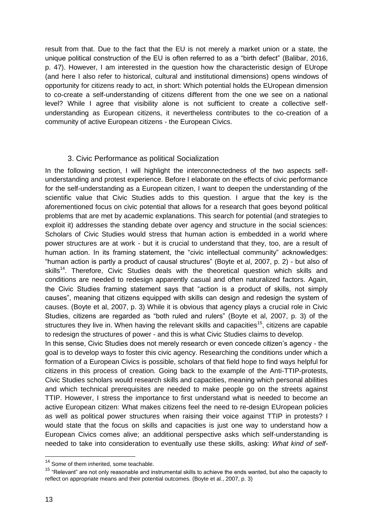result from that. Due to the fact that the EU is not merely a market union or a state, the unique political construction of the EU is often referred to as a "birth defect" (Balibar, 2016, p. 47). However, I am interested in the question how the characteristic design of EUrope (and here I also refer to historical, cultural and institutional dimensions) opens windows of opportunity for citizens ready to act, in short: Which potential holds the EUropean dimension to co-create a self-understanding of citizens different from the one we see on a national level? While I agree that visibility alone is not sufficient to create a collective selfunderstanding as European citizens, it nevertheless contributes to the co-creation of a community of active European citizens - the European Civics.

#### 3. Civic Performance as political Socialization

In the following section, I will highlight the interconnectedness of the two aspects selfunderstanding and protest experience. Before I elaborate on the effects of civic performance for the self-understanding as a European citizen, I want to deepen the understanding of the scientific value that Civic Studies adds to this question. I argue that the key is the aforementioned focus on civic potential that allows for a research that goes beyond political problems that are met by academic explanations. This search for potential (and strategies to exploit it) addresses the standing debate over agency and structure in the social sciences: Scholars of Civic Studies would stress that human action is embedded in a world where power structures are at work - but it is crucial to understand that they, too, are a result of human action. In its framing statement, the "civic intellectual community" acknowledges: "human action is partly a product of causal structures" (Boyte et al, 2007, p. 2) - but also of skills<sup>14</sup>. Therefore, Civic Studies deals with the theoretical question which skills and conditions are needed to redesign apparently casual and often naturalized factors. Again, the Civic Studies framing statement says that "action is a product of skills, not simply causes", meaning that citizens equipped with skills can design and redesign the system of causes. (Boyte et al, 2007, p. 3) While it is obvious that agency plays a crucial role in Civic Studies, citizens are regarded as "both ruled and rulers" (Boyte et al, 2007, p. 3) of the structures they live in. When having the relevant skills and capacities<sup>15</sup>, citizens are capable to redesign the structures of power - and this is what Civic Studies claims to develop.

In this sense, Civic Studies does not merely research or even concede citizen's agency - the goal is to develop ways to foster this civic agency. Researching the conditions under which a formation of a European Civics is possible, scholars of that field hope to find ways helpful for citizens in this process of creation. Going back to the example of the Anti-TTIP-protests, Civic Studies scholars would research skills and capacities, meaning which personal abilities and which technical prerequisites are needed to make people go on the streets against TTIP. However, I stress the importance to first understand what is needed to become an active European citizen: What makes citizens feel the need to re-design EUropean policies as well as political power structures when raising their voice against TTIP in protests? I would state that the focus on skills and capacities is just one way to understand how a European Civics comes alive; an additional perspective asks which self-understanding is needed to take into consideration to eventually use these skills, asking: *What kind of self-*

<sup>&</sup>lt;sup>14</sup> Some of them inherited, some teachable.

 $15$  "Relevant" are not only reasonable and instrumental skills to achieve the ends wanted, but also the capacity to reflect on appropriate means and their potential outcomes. (Boyte et al., 2007, p. 3)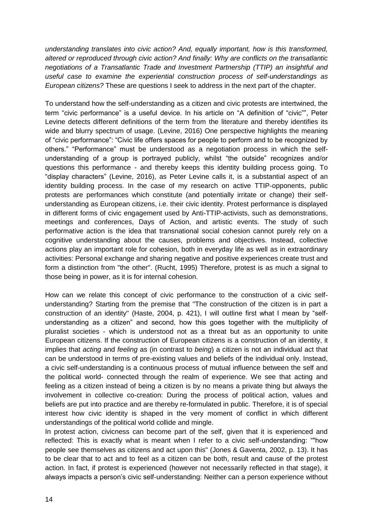*understanding translates into civic action? And, equally important, how is this transformed, altered or reproduced through civic action? And finally: Why are conflicts on the transatlantic negotiations of a Transatlantic Trade and Investment Partnership (TTIP) an insightful and useful case to examine the experiential construction process of self-understandings as European citizens?* These are questions I seek to address in the next part of the chapter.

To understand how the self-understanding as a citizen and civic protests are intertwined, the term "civic performance" is a useful device. In his article on "A definition of "civic"", Peter Levine detects different definitions of the term from the literature and thereby identifies its wide and blurry spectrum of usage. (Levine, 2016) One perspective highlights the meaning of "civic performance": "Civic life offers spaces for people to perform and to be recognized by others." "Performance" must be understood as a negotiation process in which the selfunderstanding of a group is portrayed publicly, whilst "the outside" recognizes and/or questions this performance - and thereby keeps this identity building process going. To "display characters" (Levine, 2016), as Peter Levine calls it, is a substantial aspect of an identity building process. In the case of my research on active TTIP-opponents, public protests are performances which constitute (and potentially irritate or change) their selfunderstanding as European citizens, i.e. their civic identity. Protest performance is displayed in different forms of civic engagement used by Anti-TTIP-activists, such as demonstrations, meetings and conferences, Days of Action, and artistic events. The study of such performative action is the idea that transnational social cohesion cannot purely rely on a cognitive understanding about the causes, problems and objectives. Instead, collective actions play an important role for cohesion, both in everyday life as well as in extraordinary activities: Personal exchange and sharing negative and positive experiences create trust and form a distinction from "the other". (Rucht, 1995) Therefore, protest is as much a signal to those being in power, as it is for internal cohesion.

How can we relate this concept of civic performance to the construction of a civic selfunderstanding? Starting from the premise that "The construction of the citizen is in part a construction of an identity" (Haste, 2004, p. 421), I will outline first what I mean by "selfunderstanding as a citizen" and second, how this goes together with the multiplicity of pluralist societies - which is understood not as a threat but as an opportunity to unite European citizens. If the construction of European citizens is a construction of an identity, it implies that *acting* and *feeling* as (in contrast to *being*) a citizen is not an individual act that can be understood in terms of pre-existing values and beliefs of the individual only. Instead, a civic self-understanding is a continuous process of mutual influence between the self and the political world- connected through the realm of experience. We see that acting and feeling as a citizen instead of being a citizen is by no means a private thing but always the involvement in collective co-creation: During the process of political action, values and beliefs are put into practice and are thereby re-formulated in public. Therefore, it is of special interest how civic identity is shaped in the very moment of conflict in which different understandings of the political world collide and mingle.

In protest action, civicness can become part of the self, given that it is experienced and reflected: This is exactly what is meant when I refer to a civic self-understanding: ""how people see themselves as citizens and act upon this" (Jones & Gaventa, 2002, p. 13). It has to be clear that to act and to feel as a citizen can be both, result and cause of the protest action. In fact, if protest is experienced (however not necessarily reflected in that stage), it always impacts a person's civic self-understanding: Neither can a person experience without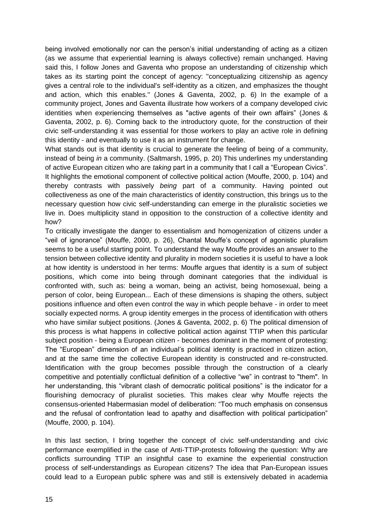being involved emotionally nor can the person's initial understanding of acting as a citizen (as we assume that experiential learning is always collective) remain unchanged. Having said this, I follow Jones and Gaventa who propose an understanding of citizenship which takes as its starting point the concept of agency: "conceptualizing citizenship as agency gives a central role to the individual's self-identity as a citizen, and emphasizes the thought and action, which this enables." (Jones & Gaventa, 2002, p. 6) In the example of a community project, Jones and Gaventa illustrate how workers of a company developed civic identities when experiencing themselves as "active agents of their own affairs" (Jones & Gaventa, 2002, p. 6). Coming back to the introductory quote, for the construction of their civic self-understanding it was essential for those workers to play an active role in defining this identity - and eventually to use it as an instrument for change.

What stands out is that identity is crucial to generate the feeling of being *of* a community, instead of being *in* a community. (Saltmarsh, 1995, p. 20) This underlines my understanding of active European citizen who are *taking* part in a community that I call a "European Civics". It highlights the emotional component of collective political action (Mouffe, 2000, p. 104) and thereby contrasts with passively *being* part of a community. Having pointed out collectiveness as one of the main characteristics of identity construction, this brings us to the necessary question how civic self-understanding can emerge in the pluralistic societies we live in. Does multiplicity stand in opposition to the construction of a collective identity and how?

To critically investigate the danger to essentialism and homogenization of citizens under a "veil of ignorance" (Mouffe, 2000, p. 26), Chantal Mouffe's concept of agonistic pluralism seems to be a useful starting point. To understand the way Mouffe provides an answer to the tension between collective identity and plurality in modern societies it is useful to have a look at how identity is understood in her terms: Mouffe argues that identity is a sum of subject positions, which come into being through dominant categories that the individual is confronted with, such as: being a woman, being an activist, being homosexual, being a person of color, being European... Each of these dimensions is shaping the others, subject positions influence and often even control the way in which people behave - in order to meet socially expected norms. A group identity emerges in the process of identification with others who have similar subject positions. (Jones & Gaventa, 2002, p. 6) The political dimension of this process is what happens in collective political action against TTIP when this particular subject position - being a European citizen - becomes dominant in the moment of protesting: The "European" dimension of an individual's political identity is practiced in citizen action, and at the same time the collective European identity is constructed and re-constructed. Identification with the group becomes possible through the construction of a clearly competitive and potentially conflictual definition of a collective "we" in contrast to "them". In her understanding, this "vibrant clash of democratic political positions" is the indicator for a flourishing democracy of pluralist societies. This makes clear why Mouffe rejects the consensus-oriented Habermasian model of deliberation: "Too much emphasis on consensus and the refusal of confrontation lead to apathy and disaffection with political participation" (Mouffe, 2000, p. 104).

In this last section, I bring together the concept of civic self-understanding and civic performance exemplified in the case of Anti-TTIP-protests following the question: Why are conflicts surrounding TTIP an insightful case to examine the experiential construction process of self-understandings as European citizens? The idea that Pan-European issues could lead to a European public sphere was and still is extensively debated in academia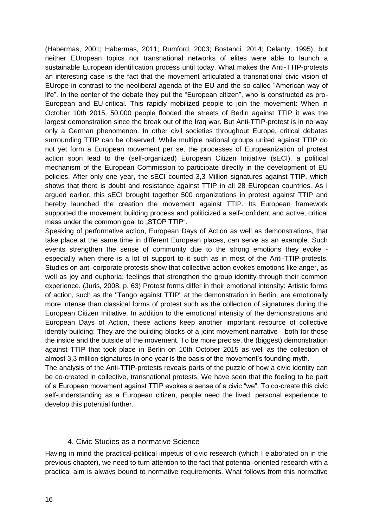(Habermas, 2001; Habermas, 2011; Rumford, 2003; Bostanci, 2014; Delanty, 1995), but neither EUropean topics nor transnational networks of elites were able to launch a sustainable European identification process until today. What makes the Anti-TTIP-protests an interesting case is the fact that the movement articulated a transnational civic vision of EUrope in contrast to the neoliberal agenda of the EU and the so-called "American way of life". In the center of the debate they put the "European citizen", who is constructed as pro-European and EU-critical. This rapidly mobilized people to join the movement: When in October 10th 2015, 50.000 people flooded the streets of Berlin against TTIP it was the largest demonstration since the break out of the Iraq war. But Anti-TTIP-protest is in no way only a German phenomenon. In other civil societies throughout Europe, critical debates surrounding TTIP can be observed. While multiple national groups united against TTIP do not yet form a European movement per se, the processes of Europeanization of protest action soon lead to the (self-organized) European Citizen Initiative (sECI), a political mechanism of the European Commission to participate directly in the development of EU policies. After only one year, the sECI counted 3,3 Million signatures against TTIP, which shows that there is doubt and resistance against TTIP in all 28 EUropean countries. As I argued earlier, this sECI brought together 500 organizations in protest against TTIP and hereby launched the creation the movement against TTIP. Its European framework supported the movement building process and politicized a self-confident and active, critical mass under the common goal to "STOP TTIP".

Speaking of performative action, European Days of Action as well as demonstrations, that take place at the same time in different European places, can serve as an example. Such events strengthen the sense of community due to the strong emotions they evoke especially when there is a lot of support to it such as in most of the Anti-TTIP-protests. Studies on anti-corporate protests show that collective action evokes emotions like anger, as well as joy and euphoria; feelings that strengthen the group identity through their common experience. (Juris, 2008, p. 63) Protest forms differ in their emotional intensity: Artistic forms of action, such as the "Tango against TTIP" at the demonstration in Berlin, are emotionally more intense than classical forms of protest such as the collection of signatures during the European Citizen Initiative. In addition to the emotional intensity of the demonstrations and European Days of Action, these actions keep another important resource of collective identity building: They are the building blocks of a joint movement narrative - both for those the inside and the outside of the movement. To be more precise, the (biggest) demonstration against TTIP that took place in Berlin on 10th October 2015 as well as the collection of almost 3,3 million signatures in one year is the basis of the movement's founding myth.

The analysis of the Anti-TTIP-protests reveals parts of the puzzle of how a civic identity can be co-created in collective, transnational protests. We have seen that the feeling to be part of a European movement against TTIP evokes a sense of a civic "we". To co-create this civic self-understanding as a European citizen, people need the lived, personal experience to develop this potential further.

#### 4. Civic Studies as a normative Science

Having in mind the practical-political impetus of civic research (which I elaborated on in the previous chapter), we need to turn attention to the fact that potential-oriented research with a practical aim is always bound to normative requirements. What follows from this normative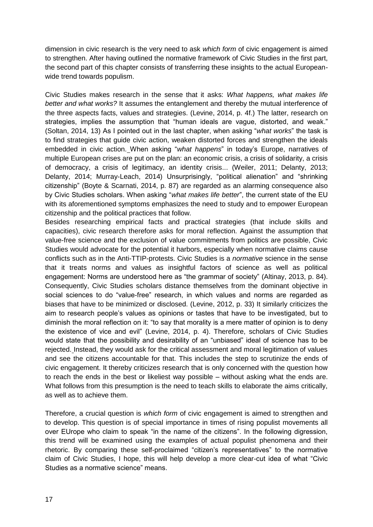dimension in civic research is the very need to ask *which form* of civic engagement is aimed to strengthen. After having outlined the normative framework of Civic Studies in the first part, the second part of this chapter consists of transferring these insights to the actual Europeanwide trend towards populism.

Civic Studies makes research in the sense that it asks: *What happens, what makes life better and what works?* It assumes the entanglement and thereby the mutual interference of the three aspects facts, values and strategies. (Levine, 2014, p. 4f.) The latter, research on strategies, implies the assumption that "human ideals are vague, distorted, and weak." (Soltan, 2014, 13) As I pointed out in the last chapter, when asking "*what works*" the task is to find strategies that guide civic action, weaken distorted forces and strengthen the ideals embedded in civic action. When asking "*what happens*" in today's Europe, narratives of multiple European crises are put on the plan: an economic crisis, a crisis of solidarity, a crisis of democracy, a crisis of legitimacy, an identity crisis... (Weiler, 2011; Delanty, 2013; Delanty, 2014; Murray-Leach, 2014) Unsurprisingly, "political alienation" and "shrinking citizenship" (Boyte & Scarnati, 2014, p. 87) are regarded as an alarming consequence also by Civic Studies scholars. When asking "*what makes life better*", the current state of the EU with its aforementioned symptoms emphasizes the need to study and to empower European citizenship and the political practices that follow.

Besides researching empirical facts and practical strategies (that include skills and capacities), civic research therefore asks for moral reflection. Against the assumption that value-free science and the exclusion of value commitments from politics are possible, Civic Studies would advocate for the potential it harbors, especially when normative claims cause conflicts such as in the Anti-TTIP-protests. Civic Studies is a *normative* science in the sense that it treats norms and values as insightful factors of science as well as political engagement: Norms are understood here as "the grammar of society" (Altinay, 2013, p. 84). Consequently, Civic Studies scholars distance themselves from the dominant objective in social sciences to do "value-free" research, in which values and norms are regarded as biases that have to be minimized or disclosed. (Levine, 2012, p. 33) It similarly criticizes the aim to research people's values as opinions or tastes that have to be investigated, but to diminish the moral reflection on it: "to say that morality is a mere matter of opinion is to deny the existence of vice and evil" (Levine, 2014, p. 4). Therefore, scholars of Civic Studies would state that the possibility and desirability of an "unbiased" ideal of science has to be rejected. Instead, they would ask for the critical assessment and moral legitimation of values and see the citizens accountable for that. This includes the step to scrutinize the ends of civic engagement. It thereby criticizes research that is only concerned with the question how to reach the ends [in](http://de.pons.com/%C3%BCbersetzung/englisch-deutsch/in) [the](http://de.pons.com/%C3%BCbersetzung/englisch-deutsch/the) [best](http://de.pons.com/%C3%BCbersetzung/englisch-deutsch/est) or likeliest [way](http://de.pons.com/%C3%BCbersetzung/englisch-deutsch/way) [possible](http://de.pons.com/%C3%BCbersetzung/englisch-deutsch/possible) [–](http://de.pons.com/%C3%BCbersetzung/englisch-deutsch/%E2%80%93) without asking what the ends [are.](http://de.pons.com/%C3%BCbersetzung/englisch-deutsch/are) What follows from this presumption is the need to teach skills to elaborate the aims critically, as well as to achieve them.

Therefore, a crucial question is *which form* of civic engagement is aimed to strengthen and to develop. This question is of special importance in times of rising populist movements all over EUrope who claim to speak "in the name of the citizens". In the following digression, this trend will be examined using the examples of actual populist phenomena and their rhetoric. By comparing these self-proclaimed "citizen's representatives" to the normative claim of Civic Studies, I hope, this will help develop a more clear-cut idea of what "Civic Studies as a normative science" means.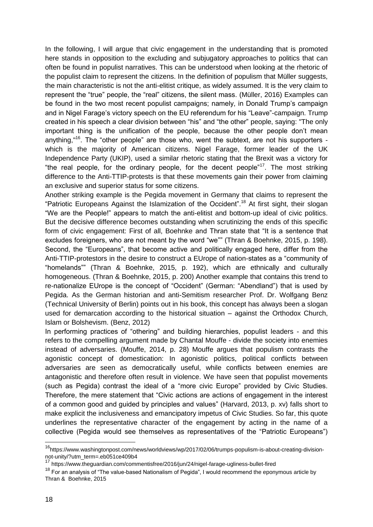In the following, I will argue that civic engagement in the understanding that is promoted here stands in opposition to the excluding and subjugatory approaches to politics that can often be found in populist narratives. This can be understood when looking at the rhetoric of the populist claim to represent the citizens. In the definition of populism that Müller suggests, the main characteristic is not the anti-elitist critique, as widely assumed. It is the very claim to represent the "true" people, the "real" citizens, the silent mass. (Müller, 2016) Examples can be found in the two most recent populist campaigns; namely, in Donald Trump's campaign and in Nigel Farage's victory speech on the EU referendum for his "Leave"-campaign. Trump created in his speech a clear division between "his" and "the other" people, saying: "The only important thing is the unification of the people, because the other people don't mean anything,"<sup>16</sup>. The "other people" are those who, went the subtext, are not his supporters which is the majority of American citizens. Nigel Farage, former leader of the UK Independence Party (UKIP), used a similar rhetoric stating that the Brexit was a victory for "the real people, for the ordinary people, for the decent people"<sup>17</sup>. The most striking difference to the Anti-TTIP-protests is that these movements gain their power from claiming an exclusive and superior status for some citizens.

Another striking example is the Pegida movement in Germany that claims to represent the "Patriotic Europeans Against the Islamization of the Occident".<sup>18</sup> At first sight, their slogan "We are the People!" appears to match the anti-elitist and bottom-up ideal of civic politics. But the decisive difference becomes outstanding when scrutinizing the ends of this specific form of civic engagement: First of all, Boehnke and Thran state that "It is a sentence that excludes foreigners, who are not meant by the word "we"" (Thran & Boehnke, 2015, p. 198). Second, the "Europeans", that become active and politically engaged here, differ from the Anti-TTIP-protestors in the desire to construct a EUrope of nation-states as a "community of "homelands"" (Thran & Boehnke, 2015, p. 192), which are ethnically and culturally homogeneous. (Thran & Boehnke, 2015, p. 200) Another example that contains this trend to re-nationalize EUrope is the concept of "Occident" (German: "Abendland") that is used by Pegida. As the German historian and anti-Semitism researcher Prof. Dr. Wolfgang Benz (Technical University of Berlin) points out in his book, this concept has always been a slogan used for demarcation according to the historical situation – against the Orthodox Church, Islam or Bolshevism. (Benz, 2012)

In performing practices of "othering" and building hierarchies, populist leaders - and this refers to the compelling argument made by Chantal Mouffe - divide the society into enemies instead of adversaries. (Mouffe, 2014, p. 28) Mouffe argues that populism contrasts the agonistic concept of domestication: In agonistic politics, political conflicts between adversaries are seen as democratically useful, while conflicts between enemies are antagonistic and therefore often result in violence. We have seen that populist movements (such as Pegida) contrast the ideal of a "more civic Europe" provided by Civic Studies. Therefore, the mere statement that "Civic actions are actions of engagement in the interest of a common good and guided by principles and values" (Harvard, 2013, p. xv) falls short to make explicit the inclusiveness and emancipatory impetus of Civic Studies. So far, this quote underlines the representative character of the engagement by acting in the name of a collective (Pegida would see themselves as representatives of the "Patriotic Europeans")

<sup>16</sup>https://www.washingtonpost.com/news/worldviews/wp/2017/02/06/trumps-populism-is-about-creating-divisionnot-unity/?utm\_term=.eb051ce409b4

<sup>17</sup> https://www.theguardian.com/commentisfree/2016/jun/24/nigel-farage-ugliness-bullet-fired

<sup>&</sup>lt;sup>18</sup> For an analysis of "The value-based Nationalism of Pegida", I would recommend the eponymous article by Thran & Boehnke, 2015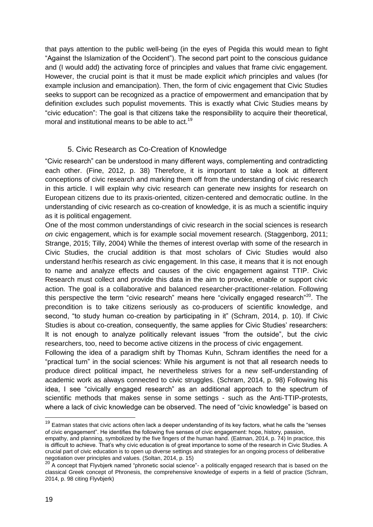that pays attention to the public well-being (in the eyes of Pegida this would mean to fight "Against the Islamization of the Occident"). The second part point to the conscious guidance and (I would add) the activating force of principles and values that frame civic engagement. However, the crucial point is that it must be made explicit *which* principles and values (for example inclusion and emancipation). Then, the form of civic engagement that Civic Studies seeks to support can be recognized as a practice of empowerment and emancipation that by definition excludes such populist movements. This is exactly what Civic Studies means by "civic education": The goal is that citizens take the responsibility to acquire their theoretical, moral and institutional means to be able to act.<sup>19</sup>

#### 5. Civic Research as Co-Creation of Knowledge

"Civic research" can be understood in many different ways, complementing and contradicting each other. (Fine, 2012, p. 38) Therefore, it is important to take a look at different conceptions of civic research and marking them off from the understanding of civic research in this article. I will explain why civic research can generate new insights for research on European citizens due to its praxis-oriented, citizen-centered and democratic outline. In the understanding of civic research as co-creation of knowledge, it is as much a scientific inquiry as it is political engagement.

One of the most common understandings of civic research in the social sciences is research *on* civic engagement, which is for example social movement research. (Staggenborg, 2011; Strange, 2015; Tilly, 2004) While the themes of interest overlap with some of the research in Civic Studies, the crucial addition is that most scholars of Civic Studies would also understand her/his research *as* civic engagement. In this case, it means that it is not enough to name and analyze effects and causes of the civic engagement against TTIP. Civic Research must collect and provide this data in the aim to provoke, enable or support civic action. The goal is a collaborative and balanced researcher-practitioner-relation. Following this perspective the term "civic research" means here "civically engaged research"<sup>20</sup>. The precondition is to take citizens seriously as co-producers of scientific knowledge, and second, "to study human co-creation by participating in it" (Schram, 2014, p. 10). If Civic Studies is about co-creation, consequently, the same applies for Civic Studies' researchers: It is not enough to analyze politically relevant issues "from the outside", but the civic researchers, too, need to become active citizens in the process of civic engagement.

Following the idea of a paradigm shift by Thomas Kuhn, Schram identifies the need for a "practical turn" in the social sciences: While his argument is not that all research needs to produce direct political impact, he nevertheless strives for a new self-understanding of academic work as always connected to civic struggles. (Schram, 2014, p. 98) Following his idea, I see "civically engaged research" as an additional approach to the spectrum of scientific methods that makes sense in some settings - such as the Anti-TTIP-protests, where a lack of civic knowledge can be observed. The need of "civic knowledge" is based on

 $19$  Eatman states that civic actions often lack a deeper understanding of its key factors, what he calls the "senses of civic engagement". He identifies the following five senses of civic engagement: hope, history, passion,

empathy, and planning, symbolized by the five fingers of the human hand. (Eatman, 2014, p. 74) In practice, this is difficult to achieve. That's why civic education is of great importance to some of the research in Civic Studies. A crucial part of civic education is to open up diverse settings and strategies for an ongoing process of deliberative negotiation over principles and values. (Soltan, 2014, p. 15)

 $20$  A concept that Flyvbjerk named "phronetic social science"- a politically engaged research that is based on the classical Greek concept of Phronesis, the comprehensive knowledge of experts in a field of practice (Schram, 2014, p. 98 citing Flyvbjerk)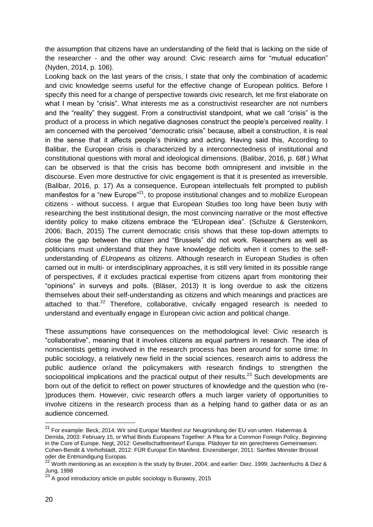the assumption that citizens have an understanding of the field that is lacking on the side of the researcher - and the other way around: Civic research aims for "mutual education" (Nyden, 2014, p. 106).

Looking back on the last years of the crisis, I state that only the combination of academic and civic knowledge seems useful for the effective change of European politics. Before I specify this need for a change of perspective towards civic research, let me first elaborate on what I mean by "crisis". What interests me as a constructivist researcher are not numbers and the "reality" they suggest. From a constructivist standpoint, what we call "crisis" is the product of a process in which negative diagnoses construct the people's perceived reality. I am concerned with the perceived "democratic crisis" because, albeit a construction, it is real in the sense that it affects people's thinking and acting. Having said this, According to Balibar, the European crisis is characterized by a interconnectedness of institutional and constitutional questions with moral and ideological dimensions. (Balibar, 2016, p. 68f.) What can be observed is that the crisis has become both omnipresent and invisible in the discourse. Even more destructive for civic engagement is that it is presented as irreversible. (Balibar, 2016, p. 17) As a consequence, European intellectuals felt prompted to publish manifestos for a "new Europe"<sup>21</sup>, to propose institutional changes and to mobilize European citizens - without success. I argue that European Studies too long have been busy with researching the best institutional design, the most convincing narrative or the most effective identity policy to make citizens embrace the "EUropean idea". (Schulze & Gerstenkorn, 2006; Bach, 2015) The current democratic crisis shows that these top-down attempts to close the gap between the citizen and "Brussels" did not work. Researchers as well as politicians must understand that they have knowledge deficits when it comes to the selfunderstanding of *EUropeans as citizens*. Although research in European Studies is often carried out in multi- or interdisciplinary approaches, it is still very limited in its possible range of perspectives, if it excludes practical expertise from citizens apart from monitoring their "opinions" in surveys and polls. (Bläser, 2013) It is long overdue to ask the citizens themselves about their self-understanding as citizens and which meanings and practices are attached to that.<sup>22</sup> Therefore, collaborative, civically engaged research is needed to understand and eventually engage in European civic action and political change.

These assumptions have consequences on the methodological level: Civic research is "collaborative", meaning that it involves citizens as equal partners in research. The idea of nonscientists getting involved in the research process has been around for some time: In public sociology, a relatively new field in the social sciences, research aims to address the public audience or/and the policymakers with research findings to strengthen the sociopolitical implications and the practical output of their results.<sup>23</sup> Such developments are born out of the deficit to reflect on power structures of knowledge and the question who (re- )produces them. However, civic research offers a much larger variety of opportunities to involve citizens in the research process than as a helping hand to gather data or as an audience concerned.

<sup>&</sup>lt;sup>21</sup> For example: Beck, 2014: Wir sind Europa! Manifest zur Neugründung der EU von unten. Habermas & Derrida, 2003: February 15, or What Binds Europeans Together: A Plea for a Common Foreign Policy, Beginning in the Core of Europe. Negt, 2012: Gesellschaftsentwurf Europa. Plädoyer für ein gerechteres Gemeinwesen. Cohen-Bendit & Verhofstadt, 2012: FÜR Europa! Ein Manifest. Enzensberger, 2011: Sanftes Monster Brüssel oder die Entmündigung Europas.

<sup>&</sup>lt;sup>22</sup> Worth mentioning as an exception is the study by Bruter, 2004; and earlier: Diez, 1999; Jachtenfuchs & Diez & Jung, 1998

 $^{23}$  A good introductory article on public sociology is Burawoy, 2015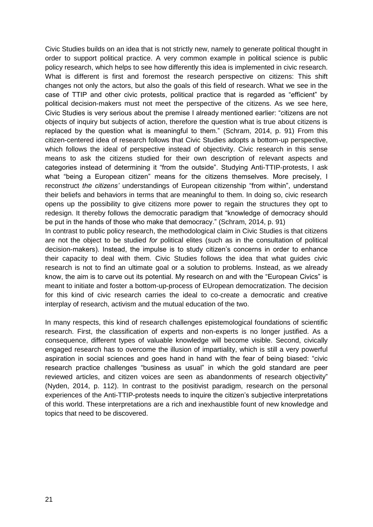Civic Studies builds on an idea that is not strictly new, namely to generate political thought in order to support political practice. A very common example in political science is public policy research, which helps to see how differently this idea is implemented in civic research. What is different is first and foremost the research perspective on citizens: This shift changes not only the actors, but also the goals of this field of research. What we see in the case of TTIP and other civic protests, political practice that is regarded as "efficient" by political decision-makers must not meet the perspective of the citizens. As we see here, Civic Studies is very serious about the premise I already mentioned earlier: "citizens are not objects of inquiry but subjects of action, therefore the question what is true about citizens is replaced by the question what is meaningful to them." (Schram, 2014, p. 91) From this citizen-centered idea of research follows that Civic Studies adopts a bottom-up perspective, which follows the ideal of perspective instead of objectivity. Civic research in this sense means to ask the citizens studied for their own description of relevant aspects and categories instead of determining it "from the outside". Studying Anti-TTIP-protests, I ask what "being a European citizen" means for the citizens themselves. More precisely, I reconstruct *the citizens'* understandings of European citizenship "from within", understand their beliefs and behaviors in terms that are meaningful to them. In doing so, civic research opens up the possibility to give citizens more power to regain the structures they opt to redesign. It thereby follows the democratic paradigm that "knowledge of democracy should be put in the hands of those who make that democracy." (Schram, 2014, p. 91)

In contrast to public policy research, the methodological claim in Civic Studies is that citizens are not the object to be studied *for* political elites (such as in the consultation of political decision-makers). Instead, the impulse is to study citizen's concerns in order to enhance their capacity to deal with them. Civic Studies follows the idea that what guides civic research is not to find an ultimate goal or a solution to problems. Instead, as we already know, the aim is to carve out its potential. My research on and with the "European Civics" is meant to initiate and foster a bottom-up-process of EUropean democratization. The decision for this kind of civic research carries the ideal to co-create a democratic and creative interplay of research, activism and the mutual education of the two.

In many respects, this kind of research challenges epistemological foundations of scientific research. First, the classification of experts and non-experts is no longer justified. As a consequence, different types of valuable knowledge will become visible. Second, civically engaged research has to overcome the illusion of impartiality, which is still a very powerful aspiration in social sciences and goes hand in hand with the fear of being biased: "civic research practice challenges "business as usual" in which the gold standard are peer reviewed articles, and citizen voices are seen as abandonments of research objectivity" (Nyden, 2014, p. 112). In contrast to the positivist paradigm, research on the personal experiences of the Anti-TTIP-protests needs to inquire the citizen's subjective interpretations of this world. These interpretations are a rich and inexhaustible fount of new knowledge and topics that need to be discovered.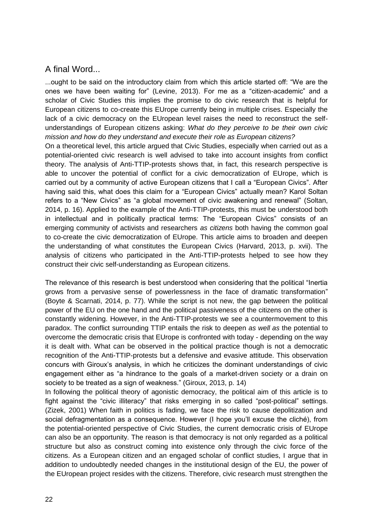### A final Word...

...ought to be said on the introductory claim from which this article started off: "We are the ones we have been waiting for" (Levine, 2013). For me as a "citizen-academic" and a scholar of Civic Studies this implies the promise to do civic research that is helpful for European citizens to co-create this EUrope currently being in multiple crises. Especially the lack of a civic democracy on the EUropean level raises the need to reconstruct the selfunderstandings of European citizens asking: *What do they perceive to be their own civic mission and how do they understand and execute their role as European citizens?*

On a theoretical level, this article argued that Civic Studies, especially when carried out as a potential-oriented civic research is well advised to take into account insights from conflict theory. The analysis of Anti-TTIP-protests shows that, in fact, this research perspective is able to uncover the potential of conflict for a civic democratization of EUrope, which is carried out by a community of active European citizens that I call a "European Civics". After having said this, what does this claim for a "European Civics" actually mean? Karol Soltan refers to a "New Civics" as "a global movement of civic awakening and renewal" (Soltan, 2014, p. 16). Applied to the example of the Anti-TTIP-protests, this must be understood both in intellectual and in politically practical terms: The "European Civics" consists of an emerging community of activists and researchers *as citizens* both having the common goal to co-create the civic democratization of EUrope. This article aims to broaden and deepen the understanding of what constitutes the European Civics (Harvard, 2013, p. xvii). The analysis of citizens who participated in the Anti-TTIP-protests helped to see how they construct their civic self-understanding as European citizens.

The relevance of this research is best understood when considering that the political "Inertia grows from a pervasive sense of powerlessness in the face of dramatic transformation" (Boyte & Scarnati, 2014, p. 77). While the script is not new, the gap between the political power of the EU on the one hand and the political passiveness of the citizens on the other is constantly widening. However, in the Anti-TTIP-protests we see a countermovement to this paradox. The conflict surrounding TTIP entails the risk to deepen *as well as* the potential to overcome the democratic crisis that EUrope is confronted with today - depending on the way it is dealt with. What can be observed in the political practice though is not a democratic recognition of the Anti-TTIP-protests but a defensive and evasive attitude. This observation concurs with Giroux's analysis, in which he criticizes the dominant understandings of civic engagement either as "a hindrance to the goals of a market-driven society or a drain on society to be treated as a sign of weakness." (Giroux, 2013, p. 14)

In following the political theory of agonistic democracy, the political aim of this article is to fight against the "civic illiteracy" that risks emerging in so called "post-political" settings. (Zizek, 2001) When faith in politics is fading, we face the risk to cause depolitization and social defragmentation as a consequence. However (I hope you'll excuse the cliché), from the potential-oriented perspective of Civic Studies, the current democratic crisis of EUrope can also be an opportunity. The reason is that democracy is not only regarded as a political structure but also as construct coming into existence only through the civic force of the citizens. As a European citizen and an engaged scholar of conflict studies, I argue that in addition to undoubtedly needed changes in the institutional design of the EU, the power of the EUropean project resides with the citizens. Therefore, civic research must strengthen the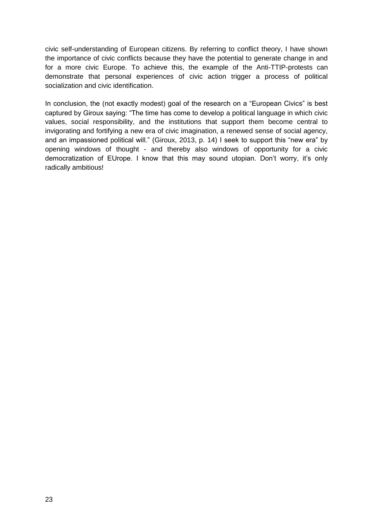civic self-understanding of European citizens. By referring to conflict theory, I have shown the importance of civic conflicts because they have the potential to generate change in and for a more civic Europe. To achieve this, the example of the Anti-TTIP-protests can demonstrate that personal experiences of civic action trigger a process of political socialization and civic identification.

In conclusion, the (not exactly modest) goal of the research on a "European Civics" is best captured by Giroux saying: "The time has come to develop a political language in which civic values, social responsibility, and the institutions that support them become central to invigorating and fortifying a new era of civic imagination, a renewed sense of social agency, and an impassioned political will." (Giroux, 2013, p. 14) I seek to support this "new era" by opening windows of thought - and thereby also windows of opportunity for a civic democratization of EUrope. I know that this may sound utopian. Don't worry, it's only radically ambitious!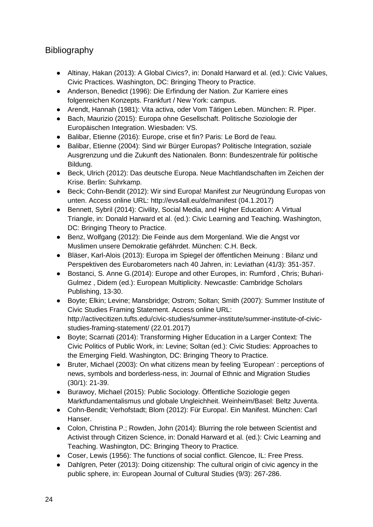## **Bibliography**

- Altinay, Hakan (2013): A Global Civics?, in: Donald Harward et al. (ed.): Civic Values, Civic Practices. Washington, DC: Bringing Theory to Practice.
- Anderson, Benedict (1996): Die Erfindung der Nation. Zur Karriere eines folgenreichen Konzepts. Frankfurt / New York: campus.
- Arendt, Hannah (1981): Vita activa, oder Vom Tätigen Leben. München: R. Piper.
- Bach, Maurizio (2015): Europa ohne Gesellschaft. Politische Soziologie der Europäischen Integration. Wiesbaden: VS.
- Balibar, Etienne (2016): Europe, crise et fin? Paris: Le Bord de l'eau.
- Balibar, Etienne (2004): Sind wir Bürger Europas? Politische Integration, soziale Ausgrenzung und die Zukunft des Nationalen. Bonn: Bundeszentrale für politische Bildung.
- Beck, Ulrich (2012): Das deutsche Europa. Neue Machtlandschaften im Zeichen der Krise. Berlin: Suhrkamp.
- Beck; Cohn-Bendit (2012): Wir sind Europa! Manifest zur Neugründung Europas von unten. Access online URL: http://evs4all.eu/de/manifest (04.1.2017)
- Bennett, Sybril (2014): Civility, Social Media, and Higher Education: A Virtual Triangle, in: Donald Harward et al. (ed.): Civic Learning and Teaching. Washington, DC: Bringing Theory to Practice.
- Benz, Wolfgang (2012): Die Feinde aus dem Morgenland. Wie die Angst vor Muslimen unsere Demokratie gefährdet. München: C.H. Beck.
- Bläser, Karl-Alois (2013): Europa im Spiegel der öffentlichen Meinung : Bilanz und Perspektiven des Eurobarometers nach 40 Jahren, in: Leviathan (41/3): 351-357.
- Bostanci, S. Anne G.(2014): Europe and other Europes, in: Rumford, Chris: Buhari-Gulmez , Didem (ed.): European Multiplicity. Newcastle: Cambridge Scholars Publishing, 13-30.
- Boyte; Elkin; Levine; Mansbridge; Ostrom; Soltan; Smith (2007): Summer Institute of Civic Studies Framing Statement. Access online URL: http://activecitizen.tufts.edu/civic-studies/summer-institute/summer-institute-of-civicstudies-framing-statement/ (22.01.2017)
- Boyte; Scarnati (2014): Transforming Higher Education in a Larger Context: The Civic Politics of Public Work, in: Levine; Soltan (ed.): Civic Studies: Approaches to the Emerging Field. Washington, DC: Bringing Theory to Practice.
- Bruter, Michael (2003): On what citizens mean by feeling 'European' : perceptions of news, symbols and borderless-ness, in: Journal of Ethnic and Migration Studies (30/1): 21-39.
- Burawoy, Michael (2015): Public Sociology. Öffentliche Soziologie gegen Marktfundamentalismus und globale Ungleichheit. Weinheim/Basel: Beltz Juventa.
- Cohn-Bendit; Verhofstadt; Blom (2012): Für Europa!. Ein Manifest. München: Carl Hanser.
- Colon, Christina P.; Rowden, John (2014): Blurring the role between Scientist and Activist through Citizen Science, in: Donald Harward et al. (ed.): Civic Learning and Teaching. Washington, DC: Bringing Theory to Practice.
- Coser, Lewis (1956): The functions of social conflict. Glencoe, IL: Free Press.
- Dahlgren, Peter (2013): Doing citizenship: The cultural origin of civic agency in the public sphere, in: European Journal of Cultural Studies (9/3): 267-286.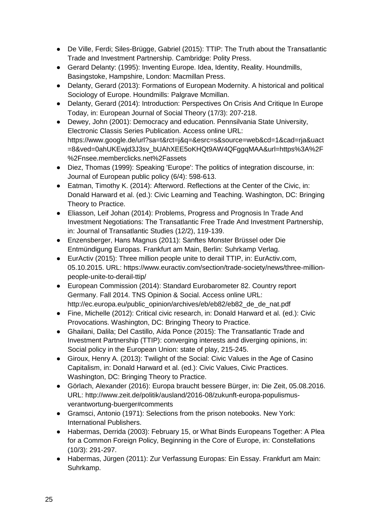- De Ville, Ferdi; Siles-Brügge, Gabriel (2015): TTIP: The Truth about the Transatlantic Trade and Investment Partnership. Cambridge: Polity Press.
- Gerard Delanty: (1995): Inventing Europe. Idea, Identity, Reality. Houndmills, Basingstoke, Hampshire, London: Macmillan Press.
- Delanty, Gerard (2013): Formations of European Modernity. A historical and political Sociology of Europe. Houndmills: Palgrave Mcmillan.
- Delanty, Gerard (2014): Introduction: Perspectives On Crisis And Critique In Europe Today, in: European Journal of Social Theory (17/3): 207-218.
- Dewey, John (2001): Democracy and education. Pennsilvania State University, Electronic Classis Series Publication. Access online URL: https://www.google.de/url?sa=t&rct=j&q=&esrc=s&source=web&cd=1&cad=rja&uact =8&ved=0ahUKEwjd3J3sv\_bUAhXEE5oKHQt9AW4QFggqMAA&url=https%3A%2F %2Fnsee.memberclicks.net%2Fassets
- Diez, Thomas (1999): Speaking 'Europe': The politics of integration discourse, in: Journal of European public policy (6/4): 598-613.
- Eatman, Timothy K. (2014): Afterword. Reflections at the Center of the Civic, in: Donald Harward et al. (ed.): Civic Learning and Teaching. Washington, DC: Bringing Theory to Practice.
- Eliasson, Leif Johan (2014): Problems, Progress and Prognosis In Trade And Investment Negotiations: The Transatlantic Free Trade And Investment Partnership, in: Journal of Transatlantic Studies (12/2), 119-139.
- Enzensberger, Hans Magnus (2011): Sanftes Monster Brüssel oder Die Entmündigung Europas. Frankfurt am Main, Berlin: Suhrkamp Verlag.
- EurActiv (2015): Three million people unite to derail TTIP, in: EurActiv.com, 05.10.2015. URL: https://www.euractiv.com/section/trade-society/news/three-millionpeople-unite-to-derail-ttip/
- European Commission (2014): Standard Eurobarometer 82. Country report Germany. Fall 2014. TNS Opinion & Social. Access online URL: http://ec.europa.eu/public\_opinion/archives/eb/eb82/eb82\_de\_de\_nat.pdf
- Fine, Michelle (2012): Critical civic research, in: Donald Harward et al. (ed.): Civic Provocations. Washington, DC: Bringing Theory to Practice.
- Ghailani, Dalila; Del Castillo, Aída Ponce (2015): The Transatlantic Trade and Investment Partnership (TTIP): converging interests and diverging opinions, in: Social policy in the European Union: state of play, 215-245.
- Giroux, Henry A. (2013): Twilight of the Social: Civic Values in the Age of Casino Capitalism, in: Donald Harward et al. (ed.): Civic Values, Civic Practices. Washington, DC: Bringing Theory to Practice.
- Görlach, Alexander (2016): Europa braucht bessere Bürger, in: Die Zeit, 05.08.2016. URL: http://www.zeit.de/politik/ausland/2016-08/zukunft-europa-populismusverantwortung-buerger#comments
- Gramsci, Antonio (1971): Selections from the prison notebooks. New York: International Publishers.
- Habermas, Derrida (2003): February 15, or What Binds Europeans Together: A Plea for a Common Foreign Policy, Beginning in the Core of Europe, in: Constellations (10/3): 291-297.
- Habermas, Jürgen (2011): Zur Verfassung Europas: Ein Essay. Frankfurt am Main: Suhrkamp.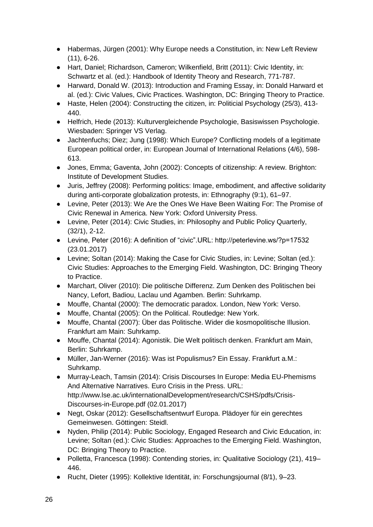- Habermas, Jürgen (2001): Why Europe needs a Constitution, in: New Left Review (11), 6-26.
- Hart, Daniel; Richardson, Cameron; Wilkenfield, Britt (2011): Civic Identity, in: Schwartz et al. (ed.): Handbook of Identity Theory and Research, 771-787.
- Harward, Donald W. (2013): Introduction and Framing Essay, in: Donald Harward et al. (ed.): Civic Values, Civic Practices. Washington, DC: Bringing Theory to Practice.
- Haste, Helen (2004): Constructing the citizen, in: Politicial Psychology (25/3), 413- 440.
- Helfrich, Hede (2013): Kulturvergleichende Psychologie, Basiswissen Psychologie. Wiesbaden: Springer VS Verlag.
- Jachtenfuchs; Diez; Jung (1998): Which Europe? Conflicting models of a legitimate European political order, in: European Journal of International Relations (4/6), 598- 613.
- Jones, Emma; Gaventa, John (2002): Concepts of citizenship: A review. Brighton: Institute of Development Studies.
- Juris, Jeffrey (2008): Performing politics: Image, embodiment, and affective solidarity during anti-corporate globalization protests, in: Ethnography (9:1), 61–97.
- Levine, Peter (2013): We Are the Ones We Have Been Waiting For: The Promise of Civic Renewal in America. New York: Oxford University Press.
- Levine, Peter (2014): Civic Studies, in: Philosophy and Public Policy Quarterly, (32/1), 2-12.
- Levine, Peter (2016): A definition of "civic".URL: http://peterlevine.ws/?p=17532 (23.01.2017)
- Levine; Soltan (2014): Making the Case for Civic Studies, in: Levine; Soltan (ed.): Civic Studies: Approaches to the Emerging Field. Washington, DC: Bringing Theory to Practice.
- Marchart, Oliver (2010): Die politische Differenz. Zum Denken des Politischen bei Nancy, Lefort, Badiou, Laclau und Agamben. Berlin: Suhrkamp.
- Mouffe, Chantal (2000): The democratic paradox. London, New York: Verso.
- Mouffe, Chantal (2005): On the Political. Routledge: New York.
- Mouffe, Chantal (2007): Über das Politische. Wider die kosmopolitische Illusion. Frankfurt am Main: Suhrkamp.
- Mouffe, Chantal (2014): Agonistik. Die Welt politisch denken. Frankfurt am Main, Berlin: Suhrkamp.
- Müller, Jan-Werner (2016): Was ist Populismus? Ein Essay. Frankfurt a.M.: Suhrkamp.
- Murray-Leach, Tamsin (2014): Crisis Discourses In Europe: Media EU-Phemisms And Alternative Narratives. Euro Crisis in the Press. URL: http://www.lse.ac.uk/internationalDevelopment/research/CSHS/pdfs/Crisis-Discourses-in-Europe.pdf (02.01.2017)
- Negt, Oskar (2012): Gesellschaftsentwurf Europa. Plädoyer für ein gerechtes Gemeinwesen. Göttingen: Steidl.
- Nyden, Philip (2014): Public Sociology, Engaged Research and Civic Education, in: Levine; Soltan (ed.): Civic Studies: Approaches to the Emerging Field. Washington, DC: Bringing Theory to Practice.
- Polletta, Francesca (1998): Contending stories, in: Qualitative Sociology (21), 419– 446.
- Rucht, Dieter (1995): Kollektive Identität, in: Forschungsjournal (8/1), 9–23.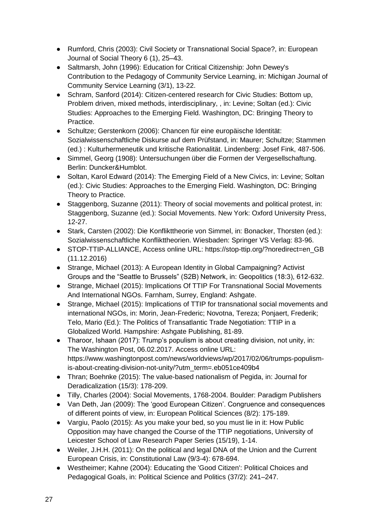- Rumford, Chris (2003): Civil Society or Transnational Social Space?, in: European Journal of Social Theory 6 (1), 25–43.
- Saltmarsh, John (1996): Education for Critical Citizenship: John Dewey's Contribution to the Pedagogy of Community Service Learning, in: Michigan Journal of Community Service Learning (3/1), 13-22.
- Schram, Sanford (2014): Citizen-centered research for Civic Studies: Bottom up, Problem driven, mixed methods, interdisciplinary, , in: Levine; Soltan (ed.): Civic Studies: Approaches to the Emerging Field. Washington, DC: Bringing Theory to Practice.
- Schultze; Gerstenkorn (2006): Chancen für eine europäische Identität: Sozialwissenschaftliche Diskurse auf dem Prüfstand, in: Maurer; Schultze; Stammen (ed.) : Kulturhermeneutik und kritische Rationalität. Lindenberg: Josef Fink, 487-506.
- Simmel, Georg (1908): Untersuchungen über die Formen der Vergesellschaftung. Berlin: Duncker&Humblot.
- Soltan, Karol Edward (2014): The Emerging Field of a New Civics, in: Levine: Soltan (ed.): Civic Studies: Approaches to the Emerging Field. Washington, DC: Bringing Theory to Practice.
- Staggenborg, Suzanne (2011): Theory of social movements and political protest, in: Staggenborg, Suzanne (ed.): Social Movements. New York: Oxford University Press, 12-27.
- Stark, Carsten (2002): Die Konflikttheorie von Simmel, in: Bonacker, Thorsten (ed.): Sozialwissenschaftliche Konflikttheorien. Wiesbaden: Springer VS Verlag: 83-96.
- STOP-TTIP-ALLIANCE, Access online URL: https://stop-ttip.org/?noredirect=en\_GB (11.12.2016)
- Strange, Michael (2013): A European Identity in Global Campaigning? Activist Groups and the "Seattle to Brussels" (S2B) Network, in: Geopolitics (18:3), 612-632.
- Strange, Michael (2015): Implications Of TTIP For Transnational Social Movements And International NGOs. Farnham, Surrey, England: Ashgate.
- Strange, Michael (2015): Implications of TTIP for transnational social movements and international NGOs, in: Morin, Jean-Frederic; Novotna, Tereza; Ponjaert, Frederik; Telo, Mario (Ed.): The Politics of Transatlantic Trade Negotiation: TTIP in a Globalized World. Hampshire: Ashgate Publishing, 81-89.
- Tharoor, Ishaan (2017): Trump's populism is about creating division, not unity, in: The Washington Post, 06.02.2017. Access online URL: https://www.washingtonpost.com/news/worldviews/wp/2017/02/06/trumps-populismis-about-creating-division-not-unity/?utm\_term=.eb051ce409b4
- Thran; Boehnke (2015): The value-based nationalism of Pegida, in: Journal for Deradicalization (15/3): 178-209.
- Tilly, Charles (2004): Social Movements, 1768-2004. Boulder: Paradigm Publishers
- Van Deth, Jan (2009): The 'good European Citizen'. Congruence and consequences of different points of view, in: European Political Sciences (8/2): 175-189.
- Vargiu, Paolo (2015): As you make your bed, so you must lie in it: How Public Opposition may have changed the Course of the TTIP negotiations, University of Leicester School of Law Research Paper Series (15/19), 1-14.
- Weiler, J.H.H. (2011): On the political and legal DNA of the Union and the Current European Crisis, in: Constitutional Law (9/3-4): 678-694.
- Westheimer; Kahne (2004): Educating the 'Good Citizen': Political Choices and Pedagogical Goals, in: Political Science and Politics (37/2): 241–247.